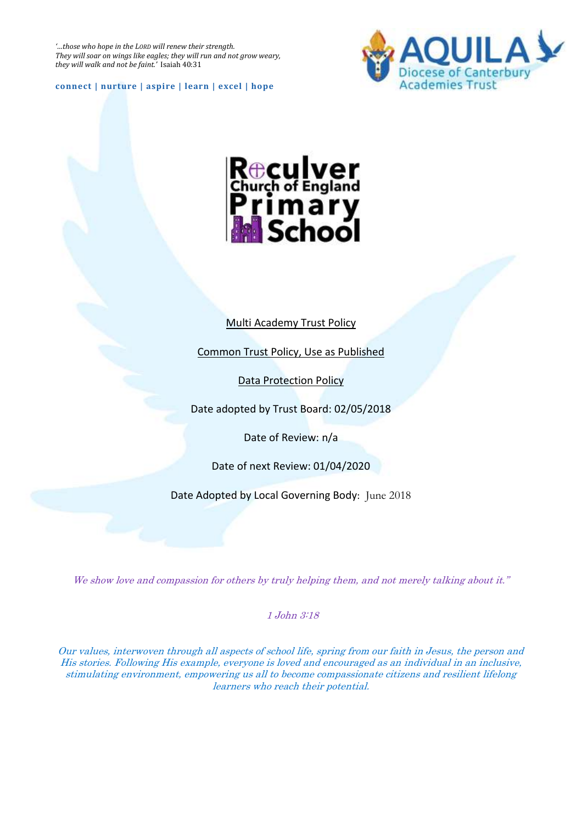*'…those who hope in the LORD will renew their strength. They will soar on wings like eagles; they will run and not grow weary, they will walk and not be faint.'* Isaiah 40:31

**connect | nurture | aspire | learn | excel | hope**







Common Trust Policy, Use as Published

Data Protection Policy

Date adopted by Trust Board: 02/05/2018

Date of Review: n/a

Date of next Review: 01/04/2020

Date Adopted by Local Governing Body: June 2018

We show love and compassion for others by truly helping them, and not merely talking about it."

1 John 3:18

Our values, interwoven through all aspects of school life, spring from our faith in Jesus, the person and His stories. Following His example, everyone is loved and encouraged as an individual in an inclusive, stimulating environment, empowering us all to become compassionate citizens and resilient lifelong learners who reach their potential.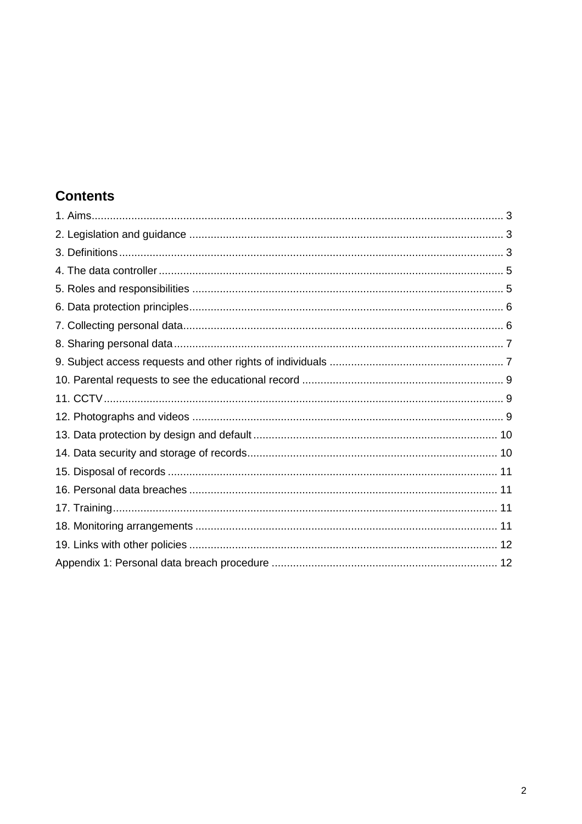# **Contents**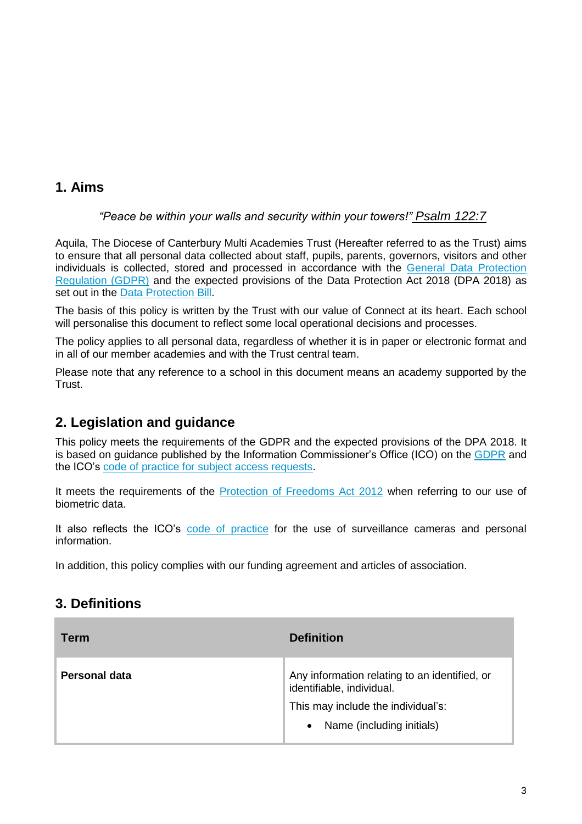## **1. Aims**

### *"Peace be within your walls and security within your towers!" Psalm 122:7*

Aquila, The Diocese of Canterbury Multi Academies Trust (Hereafter referred to as the Trust) aims to ensure that all personal data collected about staff, pupils, parents, governors, visitors and other individuals is collected, stored and processed in accordance with the [General Data Protection](http://data.consilium.europa.eu/doc/document/ST-5419-2016-INIT/en/pdf)  [Regulation \(GDPR\)](http://data.consilium.europa.eu/doc/document/ST-5419-2016-INIT/en/pdf) and the expected provisions of the Data Protection Act 2018 (DPA 2018) as set out in the [Data Protection Bill.](https://publications.parliament.uk/pa/bills/cbill/2017-2019/0153/18153.pdf)

The basis of this policy is written by the Trust with our value of Connect at its heart. Each school will personalise this document to reflect some local operational decisions and processes.

The policy applies to all personal data, regardless of whether it is in paper or electronic format and in all of our member academies and with the Trust central team.

Please note that any reference to a school in this document means an academy supported by the Trust.

## **2. Legislation and guidance**

This policy meets the requirements of the GDPR and the expected provisions of the DPA 2018. It is based on guidance published by the Information Commissioner's Office (ICO) on the [GDPR](https://ico.org.uk/for-organisations/guide-to-the-general-data-protection-regulation-gdpr/) and the ICO's [code of practice for subject access requests.](https://ico.org.uk/media/for-organisations/documents/2014223/subject-access-code-of-practice.pdf)

It meets the requirements of the [Protection of Freedoms Act 2012](https://www.legislation.gov.uk/ukpga/2012/9/part/1/chapter/2) when referring to our use of biometric data.

It also reflects the ICO's [code of practice](https://ico.org.uk/media/for-organisations/documents/1542/cctv-code-of-practice.pdf) for the use of surveillance cameras and personal information.

In addition, this policy complies with our funding agreement and articles of association.

## **3. Definitions**

| <b>Term</b>   | <b>Definition</b>                                                                                                                                          |
|---------------|------------------------------------------------------------------------------------------------------------------------------------------------------------|
| Personal data | Any information relating to an identified, or<br>identifiable, individual.<br>This may include the individual's:<br>Name (including initials)<br>$\bullet$ |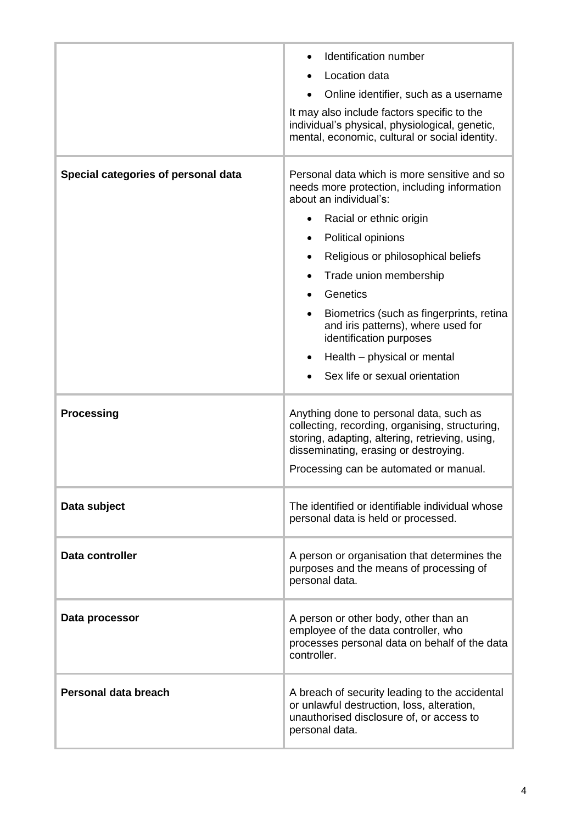|                                     | Identification number                                                                                                                                                                                                            |
|-------------------------------------|----------------------------------------------------------------------------------------------------------------------------------------------------------------------------------------------------------------------------------|
|                                     | Location data                                                                                                                                                                                                                    |
|                                     | Online identifier, such as a username                                                                                                                                                                                            |
|                                     | It may also include factors specific to the<br>individual's physical, physiological, genetic,<br>mental, economic, cultural or social identity.                                                                                  |
| Special categories of personal data | Personal data which is more sensitive and so<br>needs more protection, including information<br>about an individual's:                                                                                                           |
|                                     | Racial or ethnic origin                                                                                                                                                                                                          |
|                                     | Political opinions                                                                                                                                                                                                               |
|                                     | Religious or philosophical beliefs                                                                                                                                                                                               |
|                                     | Trade union membership                                                                                                                                                                                                           |
|                                     | Genetics                                                                                                                                                                                                                         |
|                                     | Biometrics (such as fingerprints, retina<br>and iris patterns), where used for<br>identification purposes                                                                                                                        |
|                                     | Health - physical or mental                                                                                                                                                                                                      |
|                                     | Sex life or sexual orientation                                                                                                                                                                                                   |
| <b>Processing</b>                   | Anything done to personal data, such as<br>collecting, recording, organising, structuring,<br>storing, adapting, altering, retrieving, using,<br>disseminating, erasing or destroying.<br>Processing can be automated or manual. |
| Data subject                        | The identified or identifiable individual whose<br>personal data is held or processed.                                                                                                                                           |
| Data controller                     | A person or organisation that determines the<br>purposes and the means of processing of<br>personal data.                                                                                                                        |
| Data processor                      | A person or other body, other than an<br>employee of the data controller, who<br>processes personal data on behalf of the data<br>controller.                                                                                    |
| Personal data breach                | A breach of security leading to the accidental<br>or unlawful destruction, loss, alteration,<br>unauthorised disclosure of, or access to<br>personal data.                                                                       |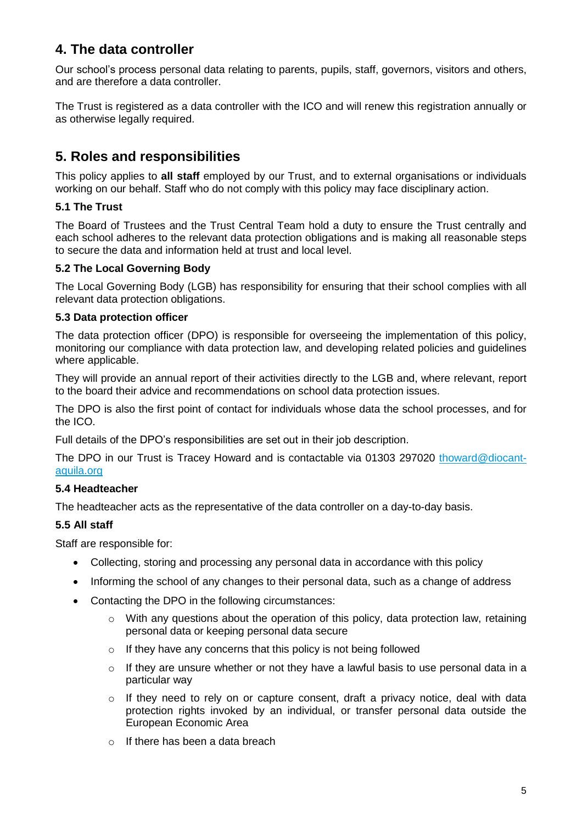# **4. The data controller**

Our school's process personal data relating to parents, pupils, staff, governors, visitors and others, and are therefore a data controller.

The Trust is registered as a data controller with the ICO and will renew this registration annually or as otherwise legally required.

# **5. Roles and responsibilities**

This policy applies to **all staff** employed by our Trust, and to external organisations or individuals working on our behalf. Staff who do not comply with this policy may face disciplinary action.

### **5.1 The Trust**

The Board of Trustees and the Trust Central Team hold a duty to ensure the Trust centrally and each school adheres to the relevant data protection obligations and is making all reasonable steps to secure the data and information held at trust and local level.

### **5.2 The Local Governing Body**

The Local Governing Body (LGB) has responsibility for ensuring that their school complies with all relevant data protection obligations.

### **5.3 Data protection officer**

The data protection officer (DPO) is responsible for overseeing the implementation of this policy, monitoring our compliance with data protection law, and developing related policies and guidelines where applicable.

They will provide an annual report of their activities directly to the LGB and, where relevant, report to the board their advice and recommendations on school data protection issues.

The DPO is also the first point of contact for individuals whose data the school processes, and for the ICO.

Full details of the DPO's responsibilities are set out in their job description.

The DPO in our Trust is Tracey Howard and is contactable via 01303 297020 [thoward@diocant](mailto:thoward@diocant-aquila.org)[aquila.org](mailto:thoward@diocant-aquila.org)

### **5.4 Headteacher**

The headteacher acts as the representative of the data controller on a day-to-day basis.

### **5.5 All staff**

Staff are responsible for:

- Collecting, storing and processing any personal data in accordance with this policy
- Informing the school of any changes to their personal data, such as a change of address
- Contacting the DPO in the following circumstances:
	- $\circ$  With any questions about the operation of this policy, data protection law, retaining personal data or keeping personal data secure
	- $\circ$  If they have any concerns that this policy is not being followed
	- $\circ$  If they are unsure whether or not they have a lawful basis to use personal data in a particular way
	- o If they need to rely on or capture consent, draft a privacy notice, deal with data protection rights invoked by an individual, or transfer personal data outside the European Economic Area
	- $\circ$  If there has been a data breach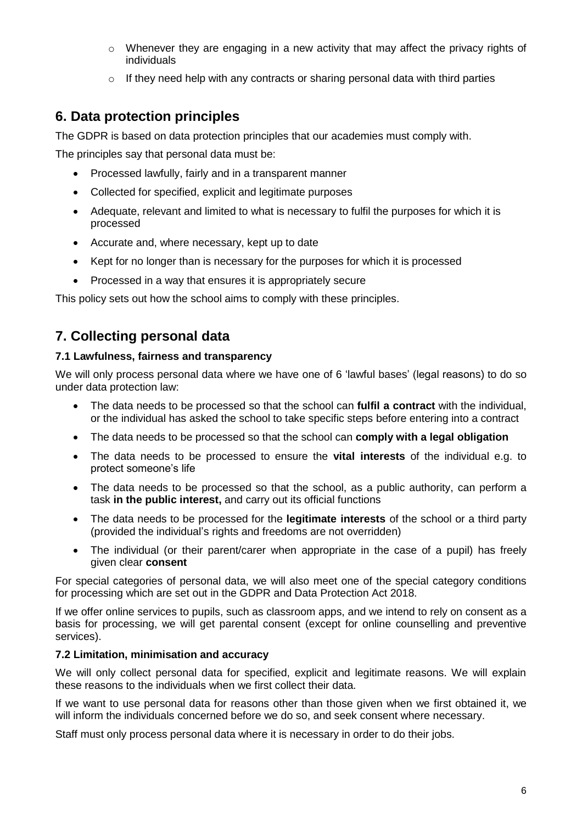- o Whenever they are engaging in a new activity that may affect the privacy rights of individuals
- $\circ$  If they need help with any contracts or sharing personal data with third parties

## **6. Data protection principles**

The GDPR is based on data protection principles that our academies must comply with.

The principles say that personal data must be:

- Processed lawfully, fairly and in a transparent manner
- Collected for specified, explicit and legitimate purposes
- Adequate, relevant and limited to what is necessary to fulfil the purposes for which it is processed
- Accurate and, where necessary, kept up to date
- Kept for no longer than is necessary for the purposes for which it is processed
- Processed in a way that ensures it is appropriately secure

This policy sets out how the school aims to comply with these principles.

# **7. Collecting personal data**

### **7.1 Lawfulness, fairness and transparency**

We will only process personal data where we have one of 6 'lawful bases' (legal reasons) to do so under data protection law:

- The data needs to be processed so that the school can **fulfil a contract** with the individual, or the individual has asked the school to take specific steps before entering into a contract
- The data needs to be processed so that the school can **comply with a legal obligation**
- The data needs to be processed to ensure the **vital interests** of the individual e.g. to protect someone's life
- The data needs to be processed so that the school, as a public authority, can perform a task **in the public interest,** and carry out its official functions
- The data needs to be processed for the **legitimate interests** of the school or a third party (provided the individual's rights and freedoms are not overridden)
- The individual (or their parent/carer when appropriate in the case of a pupil) has freely given clear **consent**

For special categories of personal data, we will also meet one of the special category conditions for processing which are set out in the GDPR and Data Protection Act 2018.

If we offer online services to pupils, such as classroom apps, and we intend to rely on consent as a basis for processing, we will get parental consent (except for online counselling and preventive services).

### **7.2 Limitation, minimisation and accuracy**

We will only collect personal data for specified, explicit and legitimate reasons. We will explain these reasons to the individuals when we first collect their data.

If we want to use personal data for reasons other than those given when we first obtained it, we will inform the individuals concerned before we do so, and seek consent where necessary.

Staff must only process personal data where it is necessary in order to do their jobs.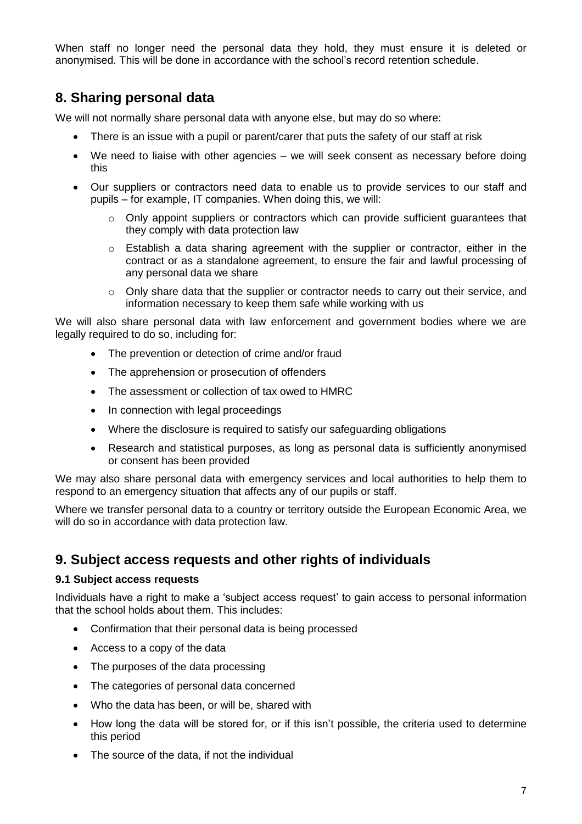When staff no longer need the personal data they hold, they must ensure it is deleted or anonymised. This will be done in accordance with the school's record retention schedule.

## **8. Sharing personal data**

We will not normally share personal data with anyone else, but may do so where:

- There is an issue with a pupil or parent/carer that puts the safety of our staff at risk
- We need to liaise with other agencies we will seek consent as necessary before doing this
- Our suppliers or contractors need data to enable us to provide services to our staff and pupils – for example, IT companies. When doing this, we will:
	- o Only appoint suppliers or contractors which can provide sufficient guarantees that they comply with data protection law
	- $\circ$  Establish a data sharing agreement with the supplier or contractor, either in the contract or as a standalone agreement, to ensure the fair and lawful processing of any personal data we share
	- $\circ$  Only share data that the supplier or contractor needs to carry out their service, and information necessary to keep them safe while working with us

We will also share personal data with law enforcement and government bodies where we are legally required to do so, including for:

- The prevention or detection of crime and/or fraud
- The apprehension or prosecution of offenders
- The assessment or collection of tax owed to HMRC
- In connection with legal proceedings
- Where the disclosure is required to satisfy our safeguarding obligations
- Research and statistical purposes, as long as personal data is sufficiently anonymised or consent has been provided

We may also share personal data with emergency services and local authorities to help them to respond to an emergency situation that affects any of our pupils or staff.

Where we transfer personal data to a country or territory outside the European Economic Area, we will do so in accordance with data protection law.

### **9. Subject access requests and other rights of individuals**

#### **9.1 Subject access requests**

Individuals have a right to make a 'subject access request' to gain access to personal information that the school holds about them. This includes:

- Confirmation that their personal data is being processed
- Access to a copy of the data
- The purposes of the data processing
- The categories of personal data concerned
- Who the data has been, or will be, shared with
- How long the data will be stored for, or if this isn't possible, the criteria used to determine this period
- The source of the data, if not the individual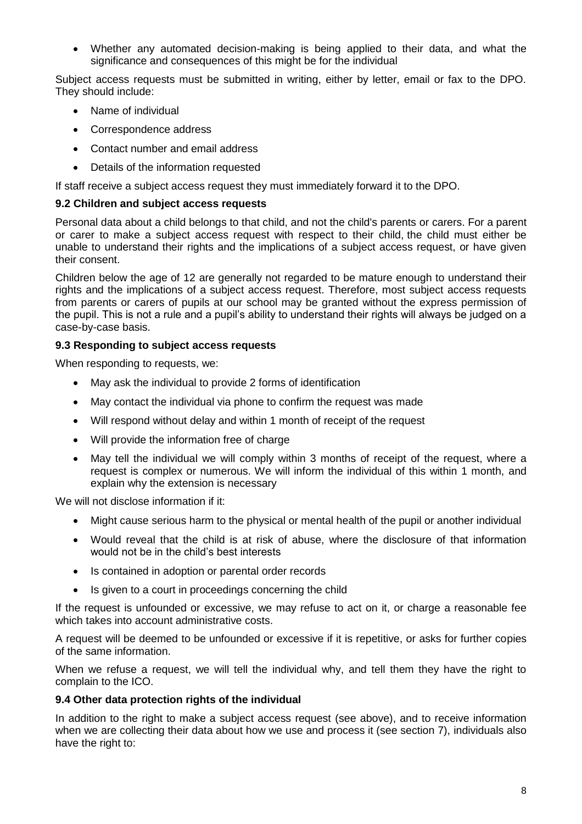Whether any automated decision-making is being applied to their data, and what the significance and consequences of this might be for the individual

Subject access requests must be submitted in writing, either by letter, email or fax to the DPO. They should include:

- Name of individual
- Correspondence address
- Contact number and email address
- Details of the information requested

If staff receive a subject access request they must immediately forward it to the DPO.

#### **9.2 Children and subject access requests**

Personal data about a child belongs to that child, and not the child's parents or carers. For a parent or carer to make a subject access request with respect to their child, the child must either be unable to understand their rights and the implications of a subject access request, or have given their consent.

Children below the age of 12 are generally not regarded to be mature enough to understand their rights and the implications of a subject access request. Therefore, most subject access requests from parents or carers of pupils at our school may be granted without the express permission of the pupil. This is not a rule and a pupil's ability to understand their rights will always be judged on a case-by-case basis.

#### **9.3 Responding to subject access requests**

When responding to requests, we:

- May ask the individual to provide 2 forms of identification
- May contact the individual via phone to confirm the request was made
- Will respond without delay and within 1 month of receipt of the request
- Will provide the information free of charge
- May tell the individual we will comply within 3 months of receipt of the request, where a request is complex or numerous. We will inform the individual of this within 1 month, and explain why the extension is necessary

We will not disclose information if it:

- Might cause serious harm to the physical or mental health of the pupil or another individual
- Would reveal that the child is at risk of abuse, where the disclosure of that information would not be in the child's best interests
- Is contained in adoption or parental order records
- Is given to a court in proceedings concerning the child

If the request is unfounded or excessive, we may refuse to act on it, or charge a reasonable fee which takes into account administrative costs.

A request will be deemed to be unfounded or excessive if it is repetitive, or asks for further copies of the same information.

When we refuse a request, we will tell the individual why, and tell them they have the right to complain to the ICO.

#### **9.4 Other data protection rights of the individual**

In addition to the right to make a subject access request (see above), and to receive information when we are collecting their data about how we use and process it (see section 7), individuals also have the right to: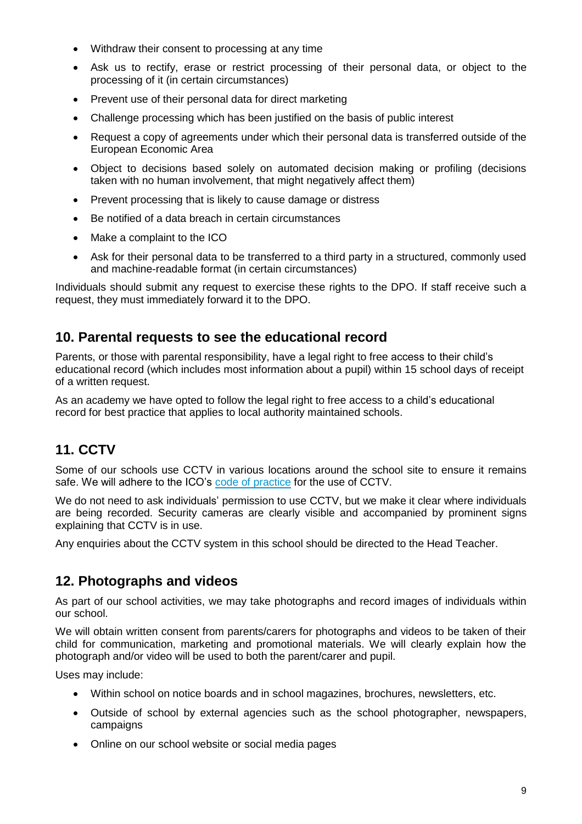- Withdraw their consent to processing at any time
- Ask us to rectify, erase or restrict processing of their personal data, or object to the processing of it (in certain circumstances)
- Prevent use of their personal data for direct marketing
- Challenge processing which has been justified on the basis of public interest
- Request a copy of agreements under which their personal data is transferred outside of the European Economic Area
- Object to decisions based solely on automated decision making or profiling (decisions taken with no human involvement, that might negatively affect them)
- Prevent processing that is likely to cause damage or distress
- Be notified of a data breach in certain circumstances
- Make a complaint to the ICO
- Ask for their personal data to be transferred to a third party in a structured, commonly used and machine-readable format (in certain circumstances)

Individuals should submit any request to exercise these rights to the DPO. If staff receive such a request, they must immediately forward it to the DPO.

## **10. Parental requests to see the educational record**

Parents, or those with parental responsibility, have a legal right to free access to their child's educational record (which includes most information about a pupil) within 15 school days of receipt of a written request.

As an academy we have opted to follow the legal right to free access to a child's educational record for best practice that applies to local authority maintained schools.

# **11. CCTV**

Some of our schools use CCTV in various locations around the school site to ensure it remains safe. We will adhere to the ICO's [code of practice](https://ico.org.uk/media/for-organisations/documents/1542/cctv-code-of-practice.pdf) for the use of CCTV.

We do not need to ask individuals' permission to use CCTV, but we make it clear where individuals are being recorded. Security cameras are clearly visible and accompanied by prominent signs explaining that CCTV is in use.

Any enquiries about the CCTV system in this school should be directed to the Head Teacher.

## **12. Photographs and videos**

As part of our school activities, we may take photographs and record images of individuals within our school.

We will obtain written consent from parents/carers for photographs and videos to be taken of their child for communication, marketing and promotional materials. We will clearly explain how the photograph and/or video will be used to both the parent/carer and pupil.

Uses may include:

- Within school on notice boards and in school magazines, brochures, newsletters, etc.
- Outside of school by external agencies such as the school photographer, newspapers, campaigns
- Online on our school website or social media pages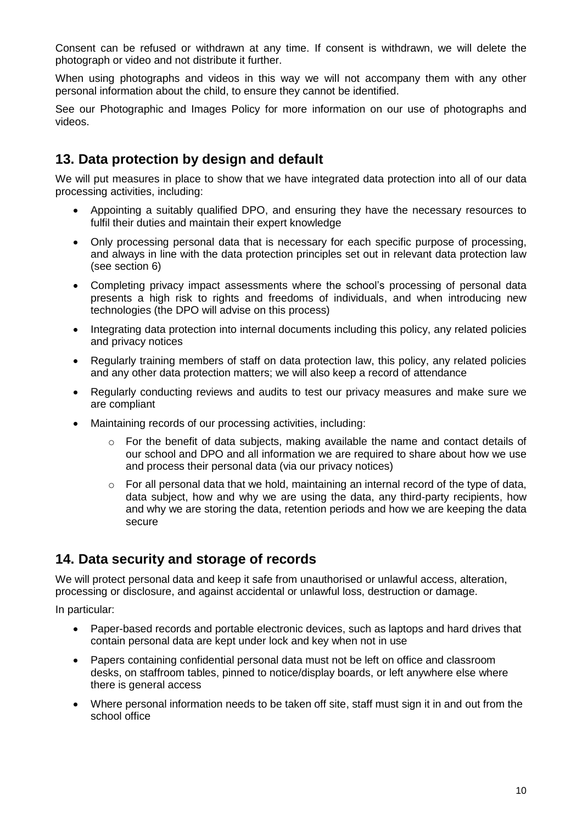Consent can be refused or withdrawn at any time. If consent is withdrawn, we will delete the photograph or video and not distribute it further.

When using photographs and videos in this way we will not accompany them with any other personal information about the child, to ensure they cannot be identified.

See our Photographic and Images Policy for more information on our use of photographs and videos.

## **13. Data protection by design and default**

We will put measures in place to show that we have integrated data protection into all of our data processing activities, including:

- Appointing a suitably qualified DPO, and ensuring they have the necessary resources to fulfil their duties and maintain their expert knowledge
- Only processing personal data that is necessary for each specific purpose of processing, and always in line with the data protection principles set out in relevant data protection law (see section 6)
- Completing privacy impact assessments where the school's processing of personal data presents a high risk to rights and freedoms of individuals, and when introducing new technologies (the DPO will advise on this process)
- Integrating data protection into internal documents including this policy, any related policies and privacy notices
- Regularly training members of staff on data protection law, this policy, any related policies and any other data protection matters; we will also keep a record of attendance
- Regularly conducting reviews and audits to test our privacy measures and make sure we are compliant
- Maintaining records of our processing activities, including:
	- $\circ$  For the benefit of data subjects, making available the name and contact details of our school and DPO and all information we are required to share about how we use and process their personal data (via our privacy notices)
	- $\circ$  For all personal data that we hold, maintaining an internal record of the type of data, data subject, how and why we are using the data, any third-party recipients, how and why we are storing the data, retention periods and how we are keeping the data secure

### **14. Data security and storage of records**

We will protect personal data and keep it safe from unauthorised or unlawful access, alteration, processing or disclosure, and against accidental or unlawful loss, destruction or damage.

In particular:

- Paper-based records and portable electronic devices, such as laptops and hard drives that contain personal data are kept under lock and key when not in use
- Papers containing confidential personal data must not be left on office and classroom desks, on staffroom tables, pinned to notice/display boards, or left anywhere else where there is general access
- Where personal information needs to be taken off site, staff must sign it in and out from the school office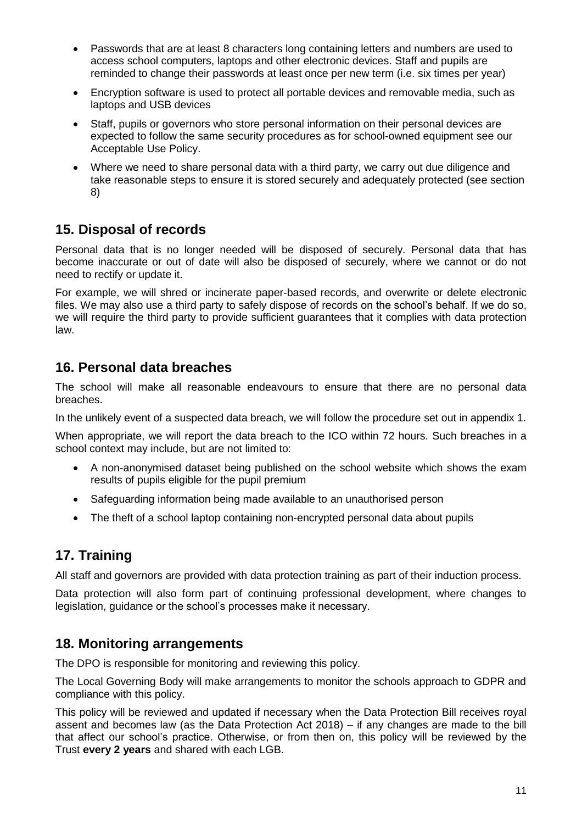- Passwords that are at least 8 characters long containing letters and numbers are used to access school computers, laptops and other electronic devices. Staff and pupils are reminded to change their passwords at least once per new term (i.e. six times per year)
- Encryption software is used to protect all portable devices and removable media, such as laptops and USB devices
- Staff, pupils or governors who store personal information on their personal devices are expected to follow the same security procedures as for school-owned equipment see our Acceptable Use Policy.
- Where we need to share personal data with a third party, we carry out due diligence and take reasonable steps to ensure it is stored securely and adequately protected (see section 8)

## **15. Disposal of records**

Personal data that is no longer needed will be disposed of securely. Personal data that has become inaccurate or out of date will also be disposed of securely, where we cannot or do not need to rectify or update it.

For example, we will shred or incinerate paper-based records, and overwrite or delete electronic files. We may also use a third party to safely dispose of records on the school's behalf. If we do so, we will require the third party to provide sufficient guarantees that it complies with data protection law.

## **16. Personal data breaches**

The school will make all reasonable endeavours to ensure that there are no personal data breaches.

In the unlikely event of a suspected data breach, we will follow the procedure set out in appendix 1.

When appropriate, we will report the data breach to the ICO within 72 hours. Such breaches in a school context may include, but are not limited to:

- A non-anonymised dataset being published on the school website which shows the exam results of pupils eligible for the pupil premium
- Safeguarding information being made available to an unauthorised person
- The theft of a school laptop containing non-encrypted personal data about pupils

# **17. Training**

All staff and governors are provided with data protection training as part of their induction process.

Data protection will also form part of continuing professional development, where changes to legislation, guidance or the school's processes make it necessary.

### **18. Monitoring arrangements**

The DPO is responsible for monitoring and reviewing this policy.

The Local Governing Body will make arrangements to monitor the schools approach to GDPR and compliance with this policy.

This policy will be reviewed and updated if necessary when the Data Protection Bill receives royal assent and becomes law (as the Data Protection Act 2018) – if any changes are made to the bill that affect our school's practice. Otherwise, or from then on, this policy will be reviewed by the Trust **every 2 years** and shared with each LGB.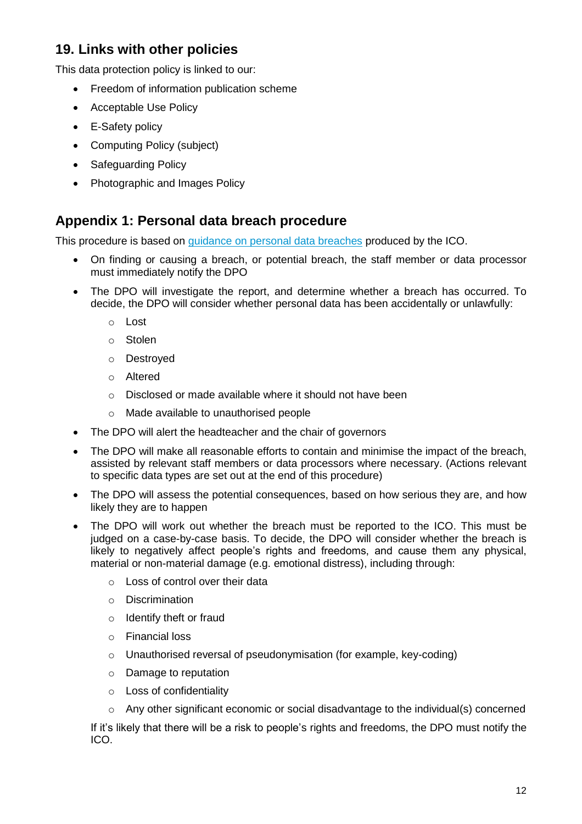# **19. Links with other policies**

This data protection policy is linked to our:

- Freedom of information publication scheme
- Acceptable Use Policy
- E-Safety policy
- Computing Policy (subject)
- Safeguarding Policy
- Photographic and Images Policy

## **Appendix 1: Personal data breach procedure**

This procedure is based on [guidance on personal data breaches](https://ico.org.uk/for-organisations/guide-to-the-general-data-protection-regulation-gdpr/personal-data-breaches/) produced by the ICO.

- On finding or causing a breach, or potential breach, the staff member or data processor must immediately notify the DPO
- The DPO will investigate the report, and determine whether a breach has occurred. To decide, the DPO will consider whether personal data has been accidentally or unlawfully:
	- o Lost
	- o Stolen
	- o Destroyed
	- o Altered
	- o Disclosed or made available where it should not have been
	- o Made available to unauthorised people
- The DPO will alert the headteacher and the chair of governors
- The DPO will make all reasonable efforts to contain and minimise the impact of the breach, assisted by relevant staff members or data processors where necessary. (Actions relevant to specific data types are set out at the end of this procedure)
- The DPO will assess the potential consequences, based on how serious they are, and how likely they are to happen
- The DPO will work out whether the breach must be reported to the ICO. This must be judged on a case-by-case basis. To decide, the DPO will consider whether the breach is likely to negatively affect people's rights and freedoms, and cause them any physical, material or non-material damage (e.g. emotional distress), including through:
	- o Loss of control over their data
	- o Discrimination
	- o Identify theft or fraud
	- o Financial loss
	- o Unauthorised reversal of pseudonymisation (for example, key-coding)
	- o Damage to reputation
	- o Loss of confidentiality
	- o Any other significant economic or social disadvantage to the individual(s) concerned

If it's likely that there will be a risk to people's rights and freedoms, the DPO must notify the ICO.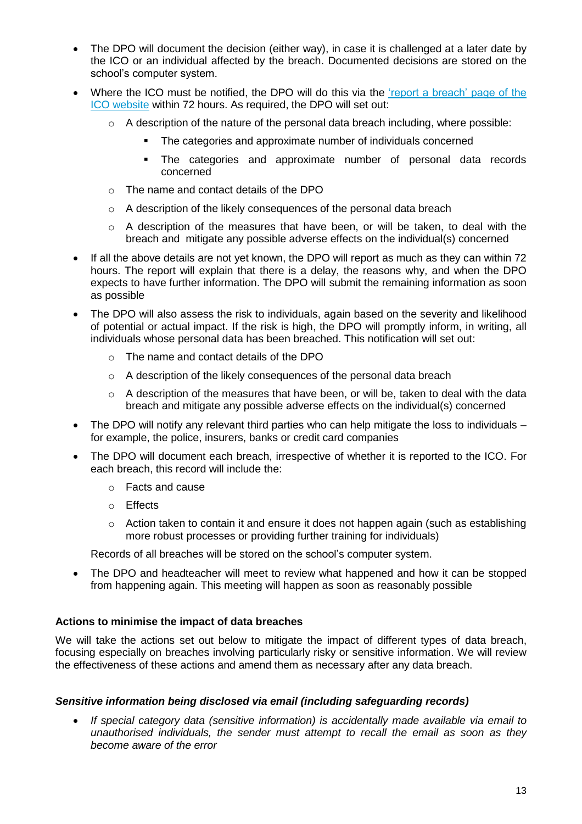- The DPO will document the decision (either way), in case it is challenged at a later date by the ICO or an individual affected by the breach. Documented decisions are stored on the school's computer system.
- Where the ICO must be notified, the DPO will do this via the ['report a breach' page of the](https://ico.org.uk/for-organisations/report-a-breach/)  [ICO website](https://ico.org.uk/for-organisations/report-a-breach/) within 72 hours. As required, the DPO will set out:
	- $\circ$  A description of the nature of the personal data breach including, where possible:
		- The categories and approximate number of individuals concerned
		- The categories and approximate number of personal data records concerned
	- o The name and contact details of the DPO
	- o A description of the likely consequences of the personal data breach
	- $\circ$  A description of the measures that have been, or will be taken, to deal with the breach and mitigate any possible adverse effects on the individual(s) concerned
- If all the above details are not yet known, the DPO will report as much as they can within 72 hours. The report will explain that there is a delay, the reasons why, and when the DPO expects to have further information. The DPO will submit the remaining information as soon as possible
- The DPO will also assess the risk to individuals, again based on the severity and likelihood of potential or actual impact. If the risk is high, the DPO will promptly inform, in writing, all individuals whose personal data has been breached. This notification will set out:
	- o The name and contact details of the DPO
	- o A description of the likely consequences of the personal data breach
	- $\circ$  A description of the measures that have been, or will be, taken to deal with the data breach and mitigate any possible adverse effects on the individual(s) concerned
- The DPO will notify any relevant third parties who can help mitigate the loss to individuals for example, the police, insurers, banks or credit card companies
- The DPO will document each breach, irrespective of whether it is reported to the ICO. For each breach, this record will include the:
	- o Facts and cause
	- o Effects
	- $\circ$  Action taken to contain it and ensure it does not happen again (such as establishing more robust processes or providing further training for individuals)

Records of all breaches will be stored on the school's computer system.

• The DPO and headteacher will meet to review what happened and how it can be stopped from happening again. This meeting will happen as soon as reasonably possible

### **Actions to minimise the impact of data breaches**

We will take the actions set out below to mitigate the impact of different types of data breach, focusing especially on breaches involving particularly risky or sensitive information. We will review the effectiveness of these actions and amend them as necessary after any data breach.

#### *Sensitive information being disclosed via email (including safeguarding records)*

 *If special category data (sensitive information) is accidentally made available via email to unauthorised individuals, the sender must attempt to recall the email as soon as they become aware of the error*